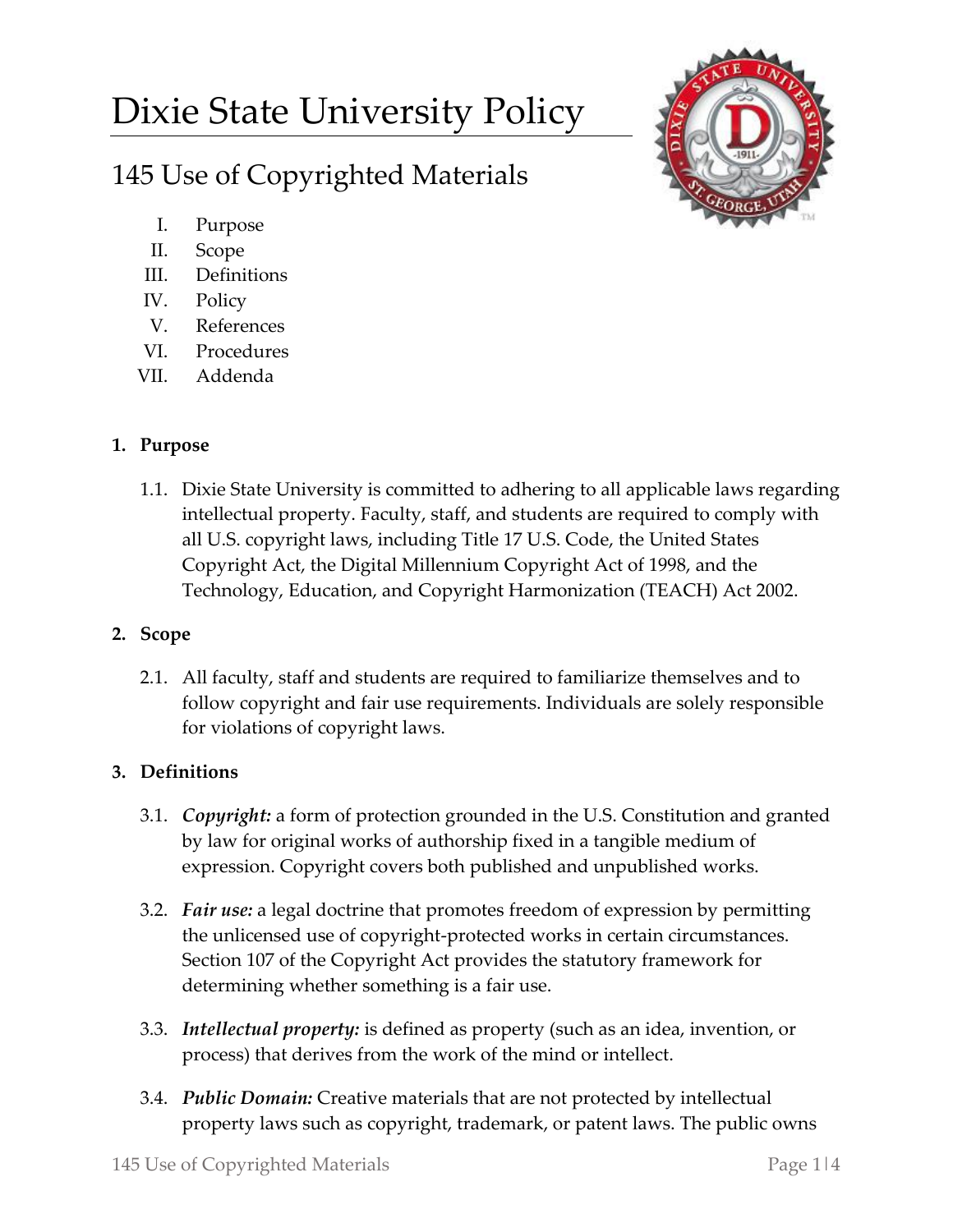# Dixie State University Policy

# 145 Use of Copyrighted Materials



- I. Purpose
- II. Scope
- III. Definitions
- IV. Policy
- V. References
- VI. Procedures
- VII. Addenda

# **1. Purpose**

1.1. Dixie State University is committed to adhering to all applicable laws regarding intellectual property. Faculty, staff, and students are required to comply with all U.S. copyright laws, including Title 17 U.S. Code, the United States Copyright Act, the Digital Millennium Copyright Act of 1998, and the Technology, Education, and Copyright Harmonization (TEACH) Act 2002.

# **2. Scope**

2.1. All faculty, staff and students are required to familiarize themselves and to follow copyright and fair use requirements. Individuals are solely responsible for violations of copyright laws.

# **3. Definitions**

- 3.1. *Copyright:* a form of protection grounded in the U.S. Constitution and granted by law for original works of authorship fixed in a tangible medium of expression. Copyright covers both published and unpublished works.
- 3.2. *Fair use:* a legal doctrine that promotes freedom of expression by permitting the unlicensed use of copyright-protected works in certain circumstances. Section 107 of the Copyright Act provides the statutory framework for determining whether something is a fair use.
- 3.3. *Intellectual property:* is defined as property (such as an idea, invention, or process) that derives from the work of the mind or intellect.
- 3.4. *Public Domain:* Creative materials that are not protected by intellectual property laws such as copyright, trademark, or patent laws. The public owns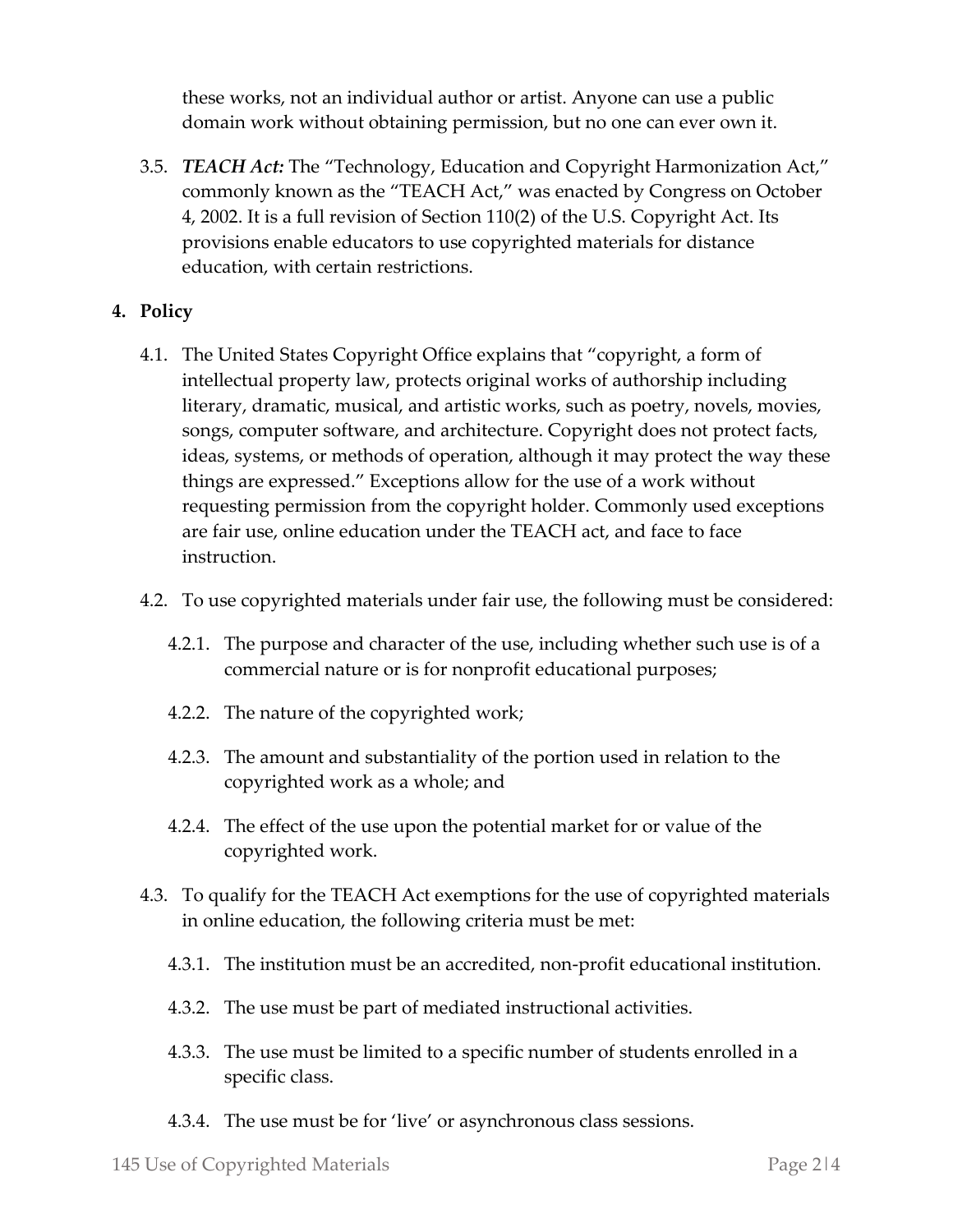these works, not an individual author or artist. Anyone can use a public domain work without obtaining permission, but no one can ever own it.

3.5. *TEACH Act:* The "Technology, Education and Copyright Harmonization Act," commonly known as the "TEACH Act," was enacted by Congress on October 4, 2002. It is a full revision of Section 110(2) of the U.S. Copyright Act. Its provisions enable educators to use copyrighted materials for distance education, with certain restrictions.

### **4. Policy**

- 4.1. The United States Copyright Office explains that "copyright, a form of intellectual property law, protects original works of authorship including literary, dramatic, musical, and artistic works, such as poetry, novels, movies, songs, computer software, and architecture. Copyright does not protect facts, ideas, systems, or methods of operation, although it may protect the way these things are expressed." Exceptions allow for the use of a work without requesting permission from the copyright holder. Commonly used exceptions are fair use, online education under the TEACH act, and face to face instruction.
- 4.2. To use copyrighted materials under fair use, the following must be considered:
	- 4.2.1. The purpose and character of the use, including whether such use is of a commercial nature or is for nonprofit educational purposes;
	- 4.2.2. The nature of the copyrighted work;
	- 4.2.3. The amount and substantiality of the portion used in relation to the copyrighted work as a whole; and
	- 4.2.4. The effect of the use upon the potential market for or value of the copyrighted work.
- 4.3. To qualify for the TEACH Act exemptions for the use of copyrighted materials in online education, the following criteria must be met:
	- 4.3.1. The institution must be an accredited, non-profit educational institution.
	- 4.3.2. The use must be part of mediated instructional activities.
	- 4.3.3. The use must be limited to a specific number of students enrolled in a specific class.
	- 4.3.4. The use must be for 'live' or asynchronous class sessions.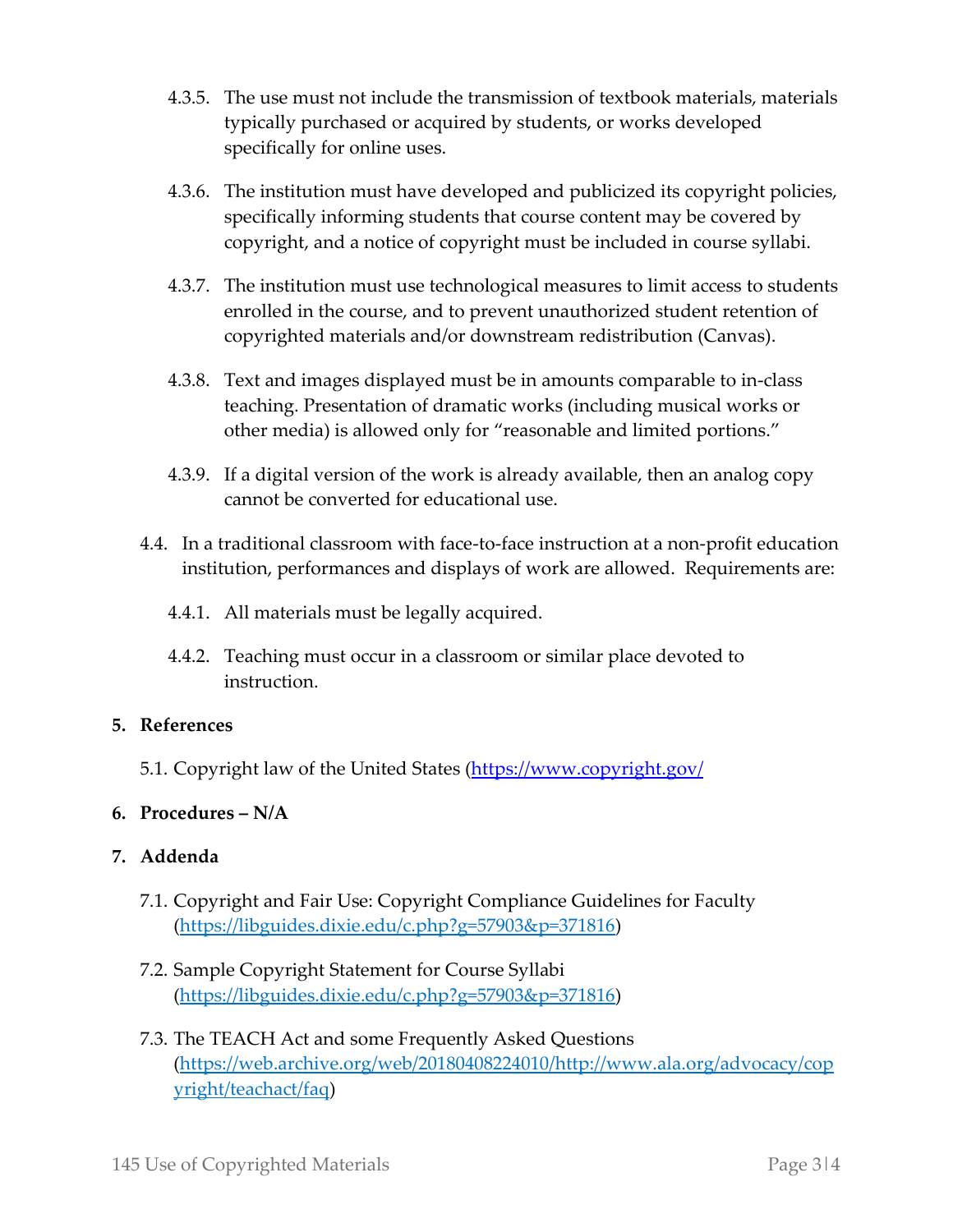- 4.3.5. The use must not include the transmission of textbook materials, materials typically purchased or acquired by students, or works developed specifically for online uses.
- 4.3.6. The institution must have developed and publicized its copyright policies, specifically informing students that course content may be covered by copyright, and a notice of copyright must be included in course syllabi.
- 4.3.7. The institution must use technological measures to limit access to students enrolled in the course, and to prevent unauthorized student retention of copyrighted materials and/or downstream redistribution (Canvas).
- 4.3.8. Text and images displayed must be in amounts comparable to in-class teaching. Presentation of dramatic works (including musical works or other media) is allowed only for "reasonable and limited portions."
- 4.3.9. If a digital version of the work is already available, then an analog copy cannot be converted for educational use.
- 4.4. In a traditional classroom with face-to-face instruction at a non-profit education institution, performances and displays of work are allowed. Requirements are:
	- 4.4.1. All materials must be legally acquired.
	- 4.4.2. Teaching must occur in a classroom or similar place devoted to instruction.

### **5. References**

5.1. Copyright law of the United States [\(https://www.copyright.gov/](https://www.copyright.gov/)

### **6. Procedures – N/A**

### **7. Addenda**

- 7.1. Copyright and Fair Use: Copyright Compliance Guidelines for Faculty [\(https://libguides.dixie.edu/c.php?g=57903&p=371816\)](https://libguides.dixie.edu/c.php?g=57903&p=371816)
- 7.2. Sample Copyright Statement for Course Syllabi [\(https://libguides.dixie.edu/c.php?g=57903&p=371816\)](https://libguides.dixie.edu/c.php?g=57903&p=371816)
- 7.3. The TEACH Act and some Frequently Asked Questions [\(https://web.archive.org/web/20180408224010/http://www.ala.org/advocacy/cop](https://web.archive.org/web/20180408224010/http:/www.ala.org/advocacy/copyright/teachact/faq) [yright/teachact/faq\)](https://web.archive.org/web/20180408224010/http:/www.ala.org/advocacy/copyright/teachact/faq)